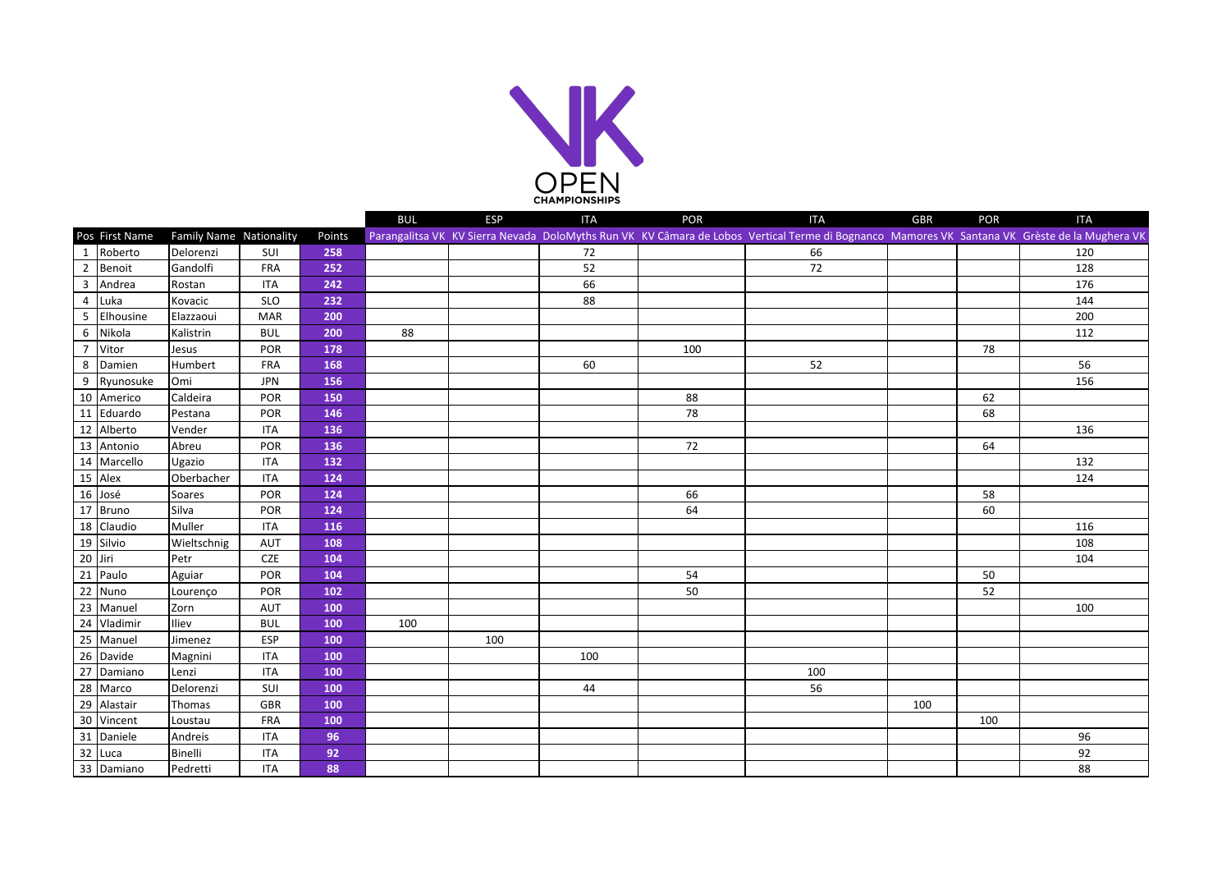

|                |                |                         |            |        | <b>BUL</b> | <b>ESP</b> | <b>ITA</b> | POR | <b>ITA</b>                                                                                                                                    | <b>GBR</b> | POR | <b>ITA</b> |
|----------------|----------------|-------------------------|------------|--------|------------|------------|------------|-----|-----------------------------------------------------------------------------------------------------------------------------------------------|------------|-----|------------|
|                | Pos First Name | Family Name Nationality |            | Points |            |            |            |     | Parangalitsa VK KV Sierra Nevada DoloMyths Run VK KV Câmara de Lobos Vertical Terme di Bognanco Mamores VK Santana VK Grèste de la Mughera VK |            |     |            |
| -1             | Roberto        | Delorenzi               | SUI        | 258    |            |            | 72         |     | 66                                                                                                                                            |            |     | 120        |
| $\overline{2}$ | Benoit         | Gandolfi                | FRA        | 252    |            |            | 52         |     | 72                                                                                                                                            |            |     | 128        |
| 3              | Andrea         | Rostan                  | <b>ITA</b> | 242    |            |            | 66         |     |                                                                                                                                               |            |     | 176        |
| $\overline{4}$ | Luka           | Kovacic                 | <b>SLO</b> | 232    |            |            | 88         |     |                                                                                                                                               |            |     | 144        |
| 5              | Elhousine      | Elazzaoui               | <b>MAR</b> | 200    |            |            |            |     |                                                                                                                                               |            |     | 200        |
| 6              | Nikola         | Kalistrin               | <b>BUL</b> | 200    | 88         |            |            |     |                                                                                                                                               |            |     | 112        |
| $\overline{7}$ | Vitor          | Jesus                   | POR        | 178    |            |            |            | 100 |                                                                                                                                               |            | 78  |            |
| 8              | Damien         | Humbert                 | FRA        | 168    |            |            | 60         |     | 52                                                                                                                                            |            |     | 56         |
| 9              | Ryunosuke      | Omi                     | <b>JPN</b> | 156    |            |            |            |     |                                                                                                                                               |            |     | 156        |
|                | 10 Americo     | Caldeira                | POR        | 150    |            |            |            | 88  |                                                                                                                                               |            | 62  |            |
|                | 11 Eduardo     | Pestana                 | POR        | 146    |            |            |            | 78  |                                                                                                                                               |            | 68  |            |
|                | 12 Alberto     | Vender                  | <b>ITA</b> | 136    |            |            |            |     |                                                                                                                                               |            |     | 136        |
|                | 13 Antonio     | Abreu                   | POR        | 136    |            |            |            | 72  |                                                                                                                                               |            | 64  |            |
|                | 14 Marcello    | Ugazio                  | <b>ITA</b> | 132    |            |            |            |     |                                                                                                                                               |            |     | 132        |
|                | 15 Alex        | Oberbacher              | <b>ITA</b> | 124    |            |            |            |     |                                                                                                                                               |            |     | 124        |
|                | 16 José        | Soares                  | POR        | 124    |            |            |            | 66  |                                                                                                                                               |            | 58  |            |
|                | 17 Bruno       | Silva                   | POR        | 124    |            |            |            | 64  |                                                                                                                                               |            | 60  |            |
|                | 18 Claudio     | Muller                  | <b>ITA</b> | 116    |            |            |            |     |                                                                                                                                               |            |     | 116        |
|                | 19 Silvio      | Wieltschnig             | AUT        | 108    |            |            |            |     |                                                                                                                                               |            |     | 108        |
| 20 Jiri        |                | Petr                    | <b>CZE</b> | 104    |            |            |            |     |                                                                                                                                               |            |     | 104        |
|                | 21 Paulo       | Aguiar                  | POR        | 104    |            |            |            | 54  |                                                                                                                                               |            | 50  |            |
|                | 22 Nuno        | Lourenço                | POR        | 102    |            |            |            | 50  |                                                                                                                                               |            | 52  |            |
|                | 23 Manuel      | Zorn                    | AUT        | 100    |            |            |            |     |                                                                                                                                               |            |     | 100        |
|                | 24 Vladimir    | Iliev                   | <b>BUL</b> | 100    | 100        |            |            |     |                                                                                                                                               |            |     |            |
|                | 25 Manuel      | Jimenez                 | ESP        | 100    |            | 100        |            |     |                                                                                                                                               |            |     |            |
|                | 26 Davide      | Magnini                 | <b>ITA</b> | 100    |            |            | 100        |     |                                                                                                                                               |            |     |            |
|                | 27 Damiano     | Lenzi                   | <b>ITA</b> | 100    |            |            |            |     | 100                                                                                                                                           |            |     |            |
|                | 28 Marco       | Delorenzi               | SUI        | 100    |            |            | 44         |     | 56                                                                                                                                            |            |     |            |
| 29             | Alastair       | Thomas                  | <b>GBR</b> | 100    |            |            |            |     |                                                                                                                                               | 100        |     |            |
|                | 30 Vincent     | Loustau                 | <b>FRA</b> | 100    |            |            |            |     |                                                                                                                                               |            | 100 |            |
|                | 31 Daniele     | Andreis                 | <b>ITA</b> | 96     |            |            |            |     |                                                                                                                                               |            |     | 96         |
|                | 32 Luca        | Binelli                 | <b>ITA</b> | 92     |            |            |            |     |                                                                                                                                               |            |     | 92         |
|                | 33 Damiano     | Pedretti                | <b>ITA</b> | 88     |            |            |            |     |                                                                                                                                               |            |     | 88         |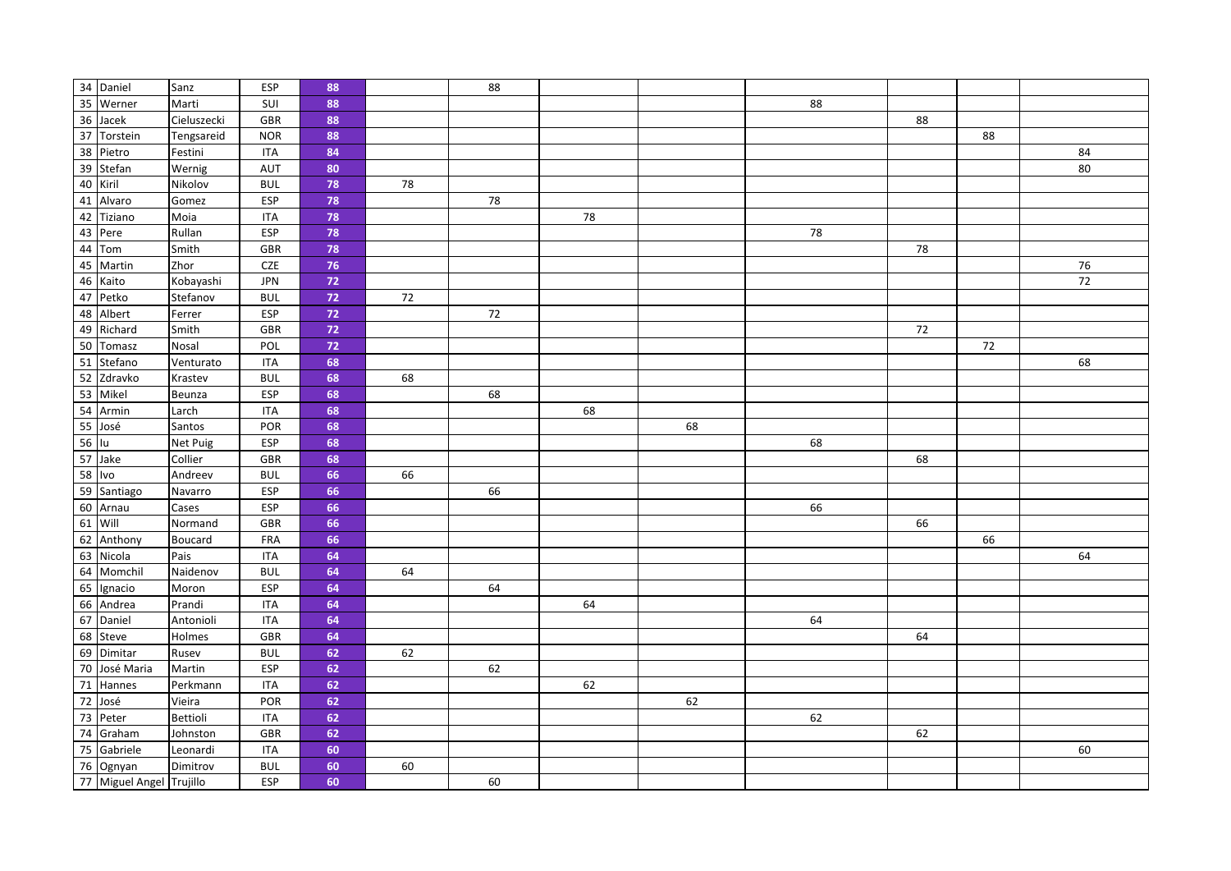|        | 34 Daniel                | Sanz        | ESP        | 88       |        | 88 |    |    |    |    |    |    |
|--------|--------------------------|-------------|------------|----------|--------|----|----|----|----|----|----|----|
|        | 35 Werner                | Marti       | SUI        | 88       |        |    |    |    | 88 |    |    |    |
|        | 36 Jacek                 | Cieluszecki | GBR        | 88       |        |    |    |    |    | 88 |    |    |
|        | 37 Torstein              | Tengsareid  | <b>NOR</b> | 88       |        |    |    |    |    |    | 88 |    |
|        | 38 Pietro                | Festini     | <b>ITA</b> | 84       |        |    |    |    |    |    |    | 84 |
|        | 39 Stefan                | Wernig      | AUT        | 80       |        |    |    |    |    |    |    | 80 |
|        | 40 Kiril                 | Nikolov     | <b>BUL</b> | 78       | $78\,$ |    |    |    |    |    |    |    |
|        | 41 Alvaro                | Gomez       | <b>ESP</b> | 78       |        | 78 |    |    |    |    |    |    |
|        | 42 Tiziano               | Moia        | <b>ITA</b> | 78       |        |    | 78 |    |    |    |    |    |
|        | 43 Pere                  | Rullan      | ESP        | 78       |        |    |    |    | 78 |    |    |    |
|        | 44 Tom                   | Smith       | GBR        | 78       |        |    |    |    |    | 78 |    |    |
|        | 45 Martin                | Zhor        | CZE        | 76       |        |    |    |    |    |    |    | 76 |
|        | 46 Kaito                 | Kobayashi   | <b>JPN</b> | $\bf 72$ |        |    |    |    |    |    |    | 72 |
|        | 47 Petko                 | Stefanov    | <b>BUL</b> | $72$     | $72\,$ |    |    |    |    |    |    |    |
|        | 48 Albert                | Ferrer      | ESP        | $72$     |        | 72 |    |    |    |    |    |    |
|        | 49 Richard               | Smith       | GBR        | $\bf 72$ |        |    |    |    |    | 72 |    |    |
|        | 50 Tomasz                | Nosal       | POL        | $72$     |        |    |    |    |    |    | 72 |    |
|        | 51 Stefano               | Venturato   | <b>ITA</b> | 68       |        |    |    |    |    |    |    | 68 |
|        | 52 Zdravko               | Krastev     | <b>BUL</b> | 68       | 68     |    |    |    |    |    |    |    |
|        | 53 Mikel                 | Beunza      | ESP        | 68       |        | 68 |    |    |    |    |    |    |
|        | 54 Armin                 | Larch       | <b>ITA</b> | 68       |        |    | 68 |    |    |    |    |    |
|        | 55 José                  | Santos      | POR        | 68       |        |    |    | 68 |    |    |    |    |
| 56 lu  |                          | Net Puig    | ESP        | 68       |        |    |    |    | 68 |    |    |    |
|        | 57 Jake                  | Collier     | GBR        | 68       |        |    |    |    |    | 68 |    |    |
| 58 Ivo |                          | Andreev     | <b>BUL</b> | 66       | 66     |    |    |    |    |    |    |    |
|        | 59 Santiago              | Navarro     | ESP        | 66       |        | 66 |    |    |    |    |    |    |
|        | 60 Arnau                 | Cases       | ESP        | 66       |        |    |    |    | 66 |    |    |    |
|        | 61 Will                  | Normand     | GBR        | 66       |        |    |    |    |    | 66 |    |    |
|        | 62 Anthony               | Boucard     | FRA        | 66       |        |    |    |    |    |    | 66 |    |
|        | 63 Nicola                | Pais        | <b>ITA</b> | 64       |        |    |    |    |    |    |    | 64 |
|        | 64 Momchil               | Naidenov    | <b>BUL</b> | 64       | 64     |    |    |    |    |    |    |    |
|        | 65 Ignacio               | Moron       | ESP        | 64       |        | 64 |    |    |    |    |    |    |
|        | 66 Andrea                | Prandi      | <b>ITA</b> | 64       |        |    | 64 |    |    |    |    |    |
|        | 67 Daniel                | Antonioli   | <b>ITA</b> | 64       |        |    |    |    | 64 |    |    |    |
|        | 68 Steve                 | Holmes      | GBR        | 64       |        |    |    |    |    | 64 |    |    |
|        | 69 Dimitar               | Rusev       | <b>BUL</b> | 62       | 62     |    |    |    |    |    |    |    |
|        | 70 José Maria            | Martin      | <b>ESP</b> | 62       |        | 62 |    |    |    |    |    |    |
|        | 71 Hannes                | Perkmann    | <b>ITA</b> | 62       |        |    | 62 |    |    |    |    |    |
|        | 72 José                  | Vieira      | POR        | 62       |        |    |    | 62 |    |    |    |    |
|        | 73 Peter                 | Bettioli    | <b>ITA</b> | 62       |        |    |    |    | 62 |    |    |    |
|        | 74 Graham                | Johnston    | GBR        | 62       |        |    |    |    |    | 62 |    |    |
|        | 75 Gabriele              | Leonardi    | <b>ITA</b> | 60       |        |    |    |    |    |    |    | 60 |
|        | 76 Ognyan                | Dimitrov    | <b>BUL</b> | 60       | 60     |    |    |    |    |    |    |    |
|        | 77 Miguel Angel Trujillo |             | <b>ESP</b> | 60       |        | 60 |    |    |    |    |    |    |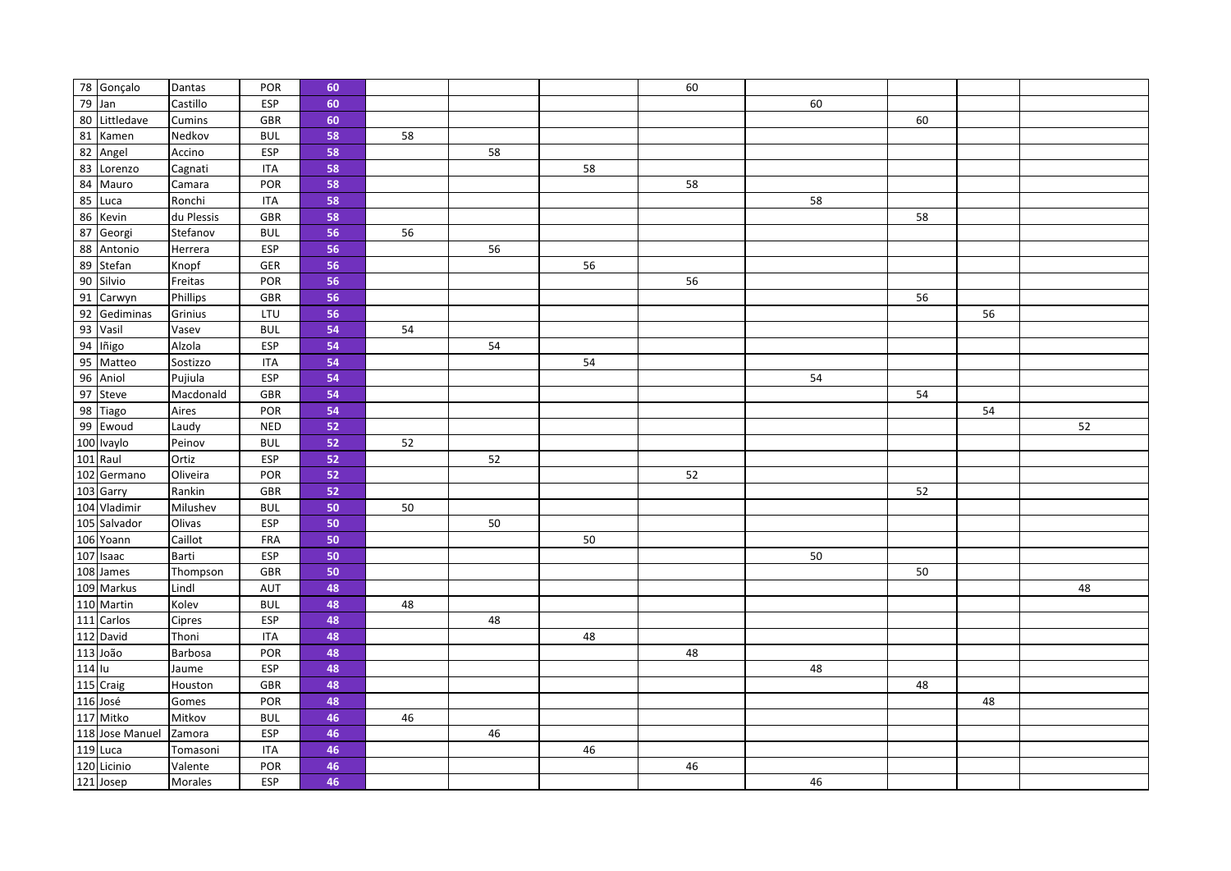|        | 78 Gonçalo      | Dantas     | POR        | 60 |    |    |    | 60 |    |    |    |    |
|--------|-----------------|------------|------------|----|----|----|----|----|----|----|----|----|
| 79 Jan |                 | Castillo   | ESP        | 60 |    |    |    |    | 60 |    |    |    |
|        | 80 Littledave   | Cumins     | GBR        | 60 |    |    |    |    |    | 60 |    |    |
|        | 81 Kamen        | Nedkov     | <b>BUL</b> | 58 | 58 |    |    |    |    |    |    |    |
|        | 82 Angel        | Accino     | <b>ESP</b> | 58 |    | 58 |    |    |    |    |    |    |
|        | 83 Lorenzo      | Cagnati    | <b>ITA</b> | 58 |    |    | 58 |    |    |    |    |    |
|        | 84 Mauro        | Camara     | POR        | 58 |    |    |    | 58 |    |    |    |    |
|        | 85 Luca         | Ronchi     | <b>ITA</b> | 58 |    |    |    |    | 58 |    |    |    |
|        | 86 Kevin        | du Plessis | GBR        | 58 |    |    |    |    |    | 58 |    |    |
|        | 87 Georgi       | Stefanov   | <b>BUL</b> | 56 | 56 |    |    |    |    |    |    |    |
|        | 88 Antonio      | Herrera    | ESP        | 56 |    | 56 |    |    |    |    |    |    |
|        | 89 Stefan       | Knopf      | GER        | 56 |    |    | 56 |    |    |    |    |    |
|        | 90 Silvio       | Freitas    | POR        | 56 |    |    |    | 56 |    |    |    |    |
|        | 91 Carwyn       | Phillips   | GBR        | 56 |    |    |    |    |    | 56 |    |    |
|        | 92 Gediminas    | Grinius    | LTU        | 56 |    |    |    |    |    |    | 56 |    |
|        | 93 Vasil        | Vasev      | <b>BUL</b> | 54 | 54 |    |    |    |    |    |    |    |
|        | 94 lñigo        | Alzola     | <b>ESP</b> | 54 |    | 54 |    |    |    |    |    |    |
|        | 95 Matteo       | Sostizzo   | <b>ITA</b> | 54 |    |    | 54 |    |    |    |    |    |
|        | 96 Aniol        | Pujiula    | <b>ESP</b> | 54 |    |    |    |    | 54 |    |    |    |
|        | 97 Steve        | Macdonald  | GBR        | 54 |    |    |    |    |    | 54 |    |    |
|        | 98 Tiago        | Aires      | POR        | 54 |    |    |    |    |    |    | 54 |    |
|        | 99 Ewoud        | Laudy      | <b>NED</b> | 52 |    |    |    |    |    |    |    | 52 |
|        | 100 Ivaylo      | Peinov     | <b>BUL</b> | 52 | 52 |    |    |    |    |    |    |    |
|        | 101 Raul        | Ortiz      | <b>ESP</b> | 52 |    | 52 |    |    |    |    |    |    |
|        | 102 Germano     | Oliveira   | POR        | 52 |    |    |    | 52 |    |    |    |    |
|        | 103 Garry       | Rankin     | GBR        | 52 |    |    |    |    |    | 52 |    |    |
|        | 104 Vladimir    | Milushev   | <b>BUL</b> | 50 | 50 |    |    |    |    |    |    |    |
|        | 105 Salvador    | Olivas     | <b>ESP</b> | 50 |    | 50 |    |    |    |    |    |    |
|        | 106 Yoann       | Caillot    | FRA        | 50 |    |    | 50 |    |    |    |    |    |
|        | 107 Isaac       | Barti      | ESP        | 50 |    |    |    |    | 50 |    |    |    |
|        | 108 James       | Thompson   | <b>GBR</b> | 50 |    |    |    |    |    | 50 |    |    |
|        | 109 Markus      | Lindl      | <b>AUT</b> | 48 |    |    |    |    |    |    |    | 48 |
|        | 110 Martin      | Kolev      | <b>BUL</b> | 48 | 48 |    |    |    |    |    |    |    |
|        | 111 Carlos      | Cipres     | <b>ESP</b> | 48 |    | 48 |    |    |    |    |    |    |
|        | 112 David       | Thoni      | <b>ITA</b> | 48 |    |    | 48 |    |    |    |    |    |
|        | 113 João        | Barbosa    | POR        | 48 |    |    |    | 48 |    |    |    |    |
| 114 Iu |                 | Jaume      | <b>ESP</b> | 48 |    |    |    |    | 48 |    |    |    |
|        | 115 Craig       | Houston    | GBR        | 48 |    |    |    |    |    | 48 |    |    |
|        | 116 José        | Gomes      | POR        | 48 |    |    |    |    |    |    | 48 |    |
|        | 117 Mitko       | Mitkov     | <b>BUL</b> | 46 | 46 |    |    |    |    |    |    |    |
|        | 118 Jose Manuel | Zamora     | ESP        | 46 |    | 46 |    |    |    |    |    |    |
|        | 119 Luca        | Tomasoni   | <b>ITA</b> | 46 |    |    | 46 |    |    |    |    |    |
|        | 120 Licinio     | Valente    | POR        | 46 |    |    |    | 46 |    |    |    |    |
|        | 121 Josep       | Morales    | ESP        | 46 |    |    |    |    | 46 |    |    |    |